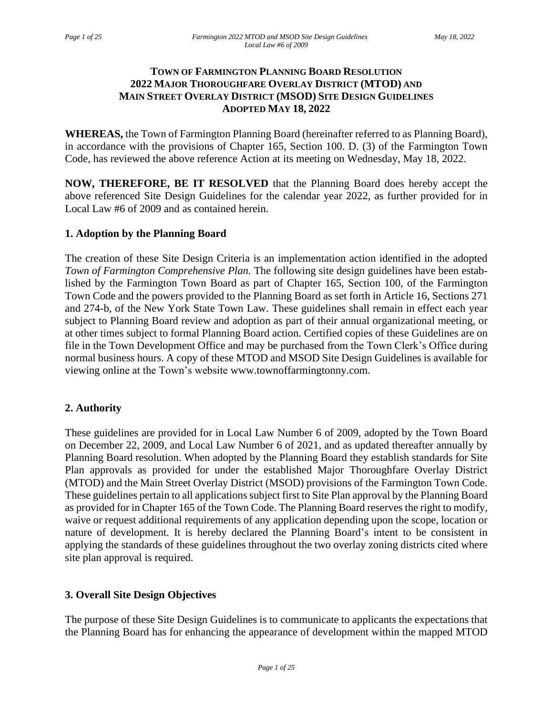# **TOWN OF FARMINGTON PLANNING BOARD RESOLUTION 2022 MAJOR THOROUGHFARE OVERLAY DISTRICT (MTOD) AND MAIN STREET OVERLAY DISTRICT (MSOD) SITE DESIGN GUIDELINES ADOPTED MAY 18, 2022**

**WHEREAS,** the Town of Farmington Planning Board (hereinafter referred to as Planning Board), in accordance with the provisions of Chapter 165, Section 100. D. (3) of the Farmington Town Code, has reviewed the above reference Action at its meeting on Wednesday, May 18, 2022.

**NOW, THEREFORE, BE IT RESOLVED** that the Planning Board does hereby accept the above referenced Site Design Guidelines for the calendar year 2022, as further provided for in Local Law #6 of 2009 and as contained herein.

# **1. Adoption by the Planning Board**

The creation of these Site Design Criteria is an implementation action identified in the adopted *Town of Farmington Comprehensive Plan.* The following site design guidelines have been established by the Farmington Town Board as part of Chapter 165, Section 100, of the Farmington Town Code and the powers provided to the Planning Board as set forth in Article 16, Sections 271 and 274-b, of the New York State Town Law. These guidelines shall remain in effect each year subject to Planning Board review and adoption as part of their annual organizational meeting, or at other times subject to formal Planning Board action. Certified copies of these Guidelines are on file in the Town Development Office and may be purchased from the Town Clerk's Office during normal business hours. A copy of these MTOD and MSOD Site Design Guidelines is available for viewing online at the Town's website [www.townoffarmingtonny.com.](http://www.townoffarmingtonny.com/)

## **2. Authority**

These guidelines are provided for in Local Law Number 6 of 2009, adopted by the Town Board on December 22, 2009, and Local Law Number 6 of 2021, and as updated thereafter annually by Planning Board resolution. When adopted by the Planning Board they establish standards for Site Plan approvals as provided for under the established Major Thoroughfare Overlay District (MTOD) and the Main Street Overlay District (MSOD) provisions of the Farmington Town Code. These guidelines pertain to all applications subject first to Site Plan approval by the Planning Board as provided for in Chapter 165 of the Town Code. The Planning Board reserves the right to modify, waive or request additional requirements of any application depending upon the scope, location or nature of development. It is hereby declared the Planning Board's intent to be consistent in applying the standards of these guidelines throughout the two overlay zoning districts cited where site plan approval is required.

## **3. Overall Site Design Objectives**

The purpose of these Site Design Guidelines is to communicate to applicants the expectations that the Planning Board has for enhancing the appearance of development within the mapped MTOD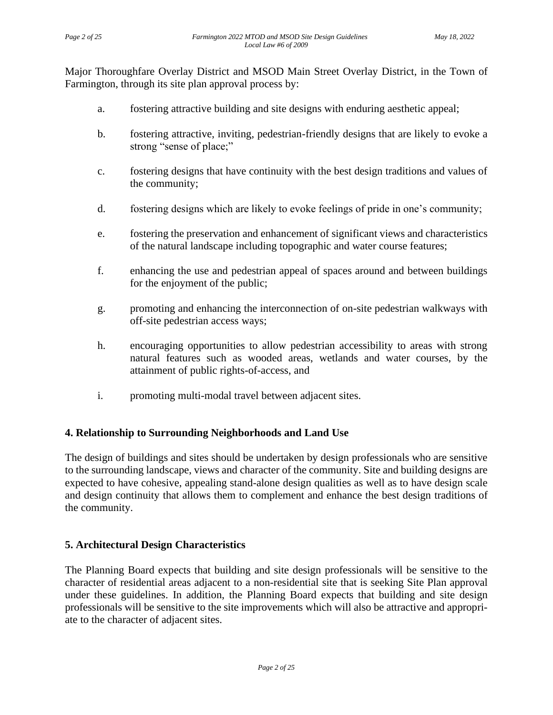Major Thoroughfare Overlay District and MSOD Main Street Overlay District, in the Town of Farmington, through its site plan approval process by:

- a. fostering attractive building and site designs with enduring aesthetic appeal;
- b. fostering attractive, inviting, pedestrian-friendly designs that are likely to evoke a strong "sense of place;"
- c. fostering designs that have continuity with the best design traditions and values of the community;
- d. fostering designs which are likely to evoke feelings of pride in one's community;
- e. fostering the preservation and enhancement of significant views and characteristics of the natural landscape including topographic and water course features;
- f. enhancing the use and pedestrian appeal of spaces around and between buildings for the enjoyment of the public;
- g. promoting and enhancing the interconnection of on-site pedestrian walkways with off-site pedestrian access ways;
- h. encouraging opportunities to allow pedestrian accessibility to areas with strong natural features such as wooded areas, wetlands and water courses, by the attainment of public rights-of-access, and
- i. promoting multi-modal travel between adjacent sites.

## **4. Relationship to Surrounding Neighborhoods and Land Use**

The design of buildings and sites should be undertaken by design professionals who are sensitive to the surrounding landscape, views and character of the community. Site and building designs are expected to have cohesive, appealing stand-alone design qualities as well as to have design scale and design continuity that allows them to complement and enhance the best design traditions of the community.

## **5. Architectural Design Characteristics**

The Planning Board expects that building and site design professionals will be sensitive to the character of residential areas adjacent to a non-residential site that is seeking Site Plan approval under these guidelines. In addition, the Planning Board expects that building and site design professionals will be sensitive to the site improvements which will also be attractive and appropriate to the character of adjacent sites.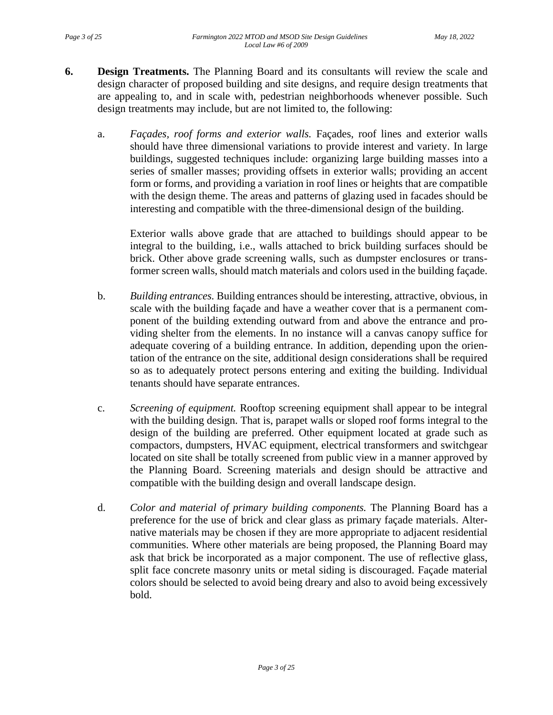- **6. Design Treatments.** The Planning Board and its consultants will review the scale and design character of proposed building and site designs, and require design treatments that are appealing to, and in scale with, pedestrian neighborhoods whenever possible. Such design treatments may include, but are not limited to, the following:
	- a. *Façades, roof forms and exterior walls.* Façades, roof lines and exterior walls should have three dimensional variations to provide interest and variety. In large buildings, suggested techniques include: organizing large building masses into a series of smaller masses; providing offsets in exterior walls; providing an accent form or forms, and providing a variation in roof lines or heights that are compatible with the design theme. The areas and patterns of glazing used in facades should be interesting and compatible with the three-dimensional design of the building.

Exterior walls above grade that are attached to buildings should appear to be integral to the building, i.e., walls attached to brick building surfaces should be brick. Other above grade screening walls, such as dumpster enclosures or transformer screen walls, should match materials and colors used in the building façade.

- b. *Building entrances.* Building entrances should be interesting, attractive, obvious, in scale with the building façade and have a weather cover that is a permanent component of the building extending outward from and above the entrance and providing shelter from the elements. In no instance will a canvas canopy suffice for adequate covering of a building entrance. In addition, depending upon the orientation of the entrance on the site, additional design considerations shall be required so as to adequately protect persons entering and exiting the building. Individual tenants should have separate entrances.
- c. *Screening of equipment.* Rooftop screening equipment shall appear to be integral with the building design. That is, parapet walls or sloped roof forms integral to the design of the building are preferred. Other equipment located at grade such as compactors, dumpsters, HVAC equipment, electrical transformers and switchgear located on site shall be totally screened from public view in a manner approved by the Planning Board. Screening materials and design should be attractive and compatible with the building design and overall landscape design.
- d. *Color and material of primary building components.* The Planning Board has a preference for the use of brick and clear glass as primary façade materials. Alternative materials may be chosen if they are more appropriate to adjacent residential communities. Where other materials are being proposed, the Planning Board may ask that brick be incorporated as a major component. The use of reflective glass, split face concrete masonry units or metal siding is discouraged. Façade material colors should be selected to avoid being dreary and also to avoid being excessively bold.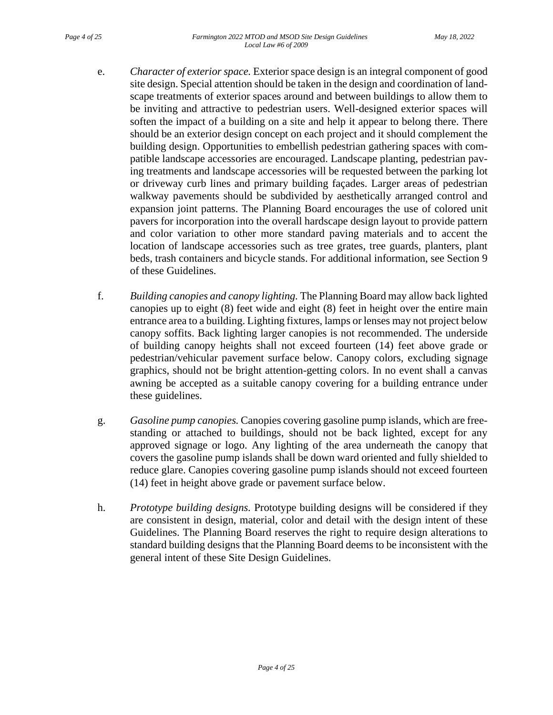- e. *Character of exterior space.* Exterior space design is an integral component of good site design. Special attention should be taken in the design and coordination of landscape treatments of exterior spaces around and between buildings to allow them to be inviting and attractive to pedestrian users. Well-designed exterior spaces will soften the impact of a building on a site and help it appear to belong there. There should be an exterior design concept on each project and it should complement the building design. Opportunities to embellish pedestrian gathering spaces with compatible landscape accessories are encouraged. Landscape planting, pedestrian paving treatments and landscape accessories will be requested between the parking lot or driveway curb lines and primary building façades. Larger areas of pedestrian walkway pavements should be subdivided by aesthetically arranged control and expansion joint patterns. The Planning Board encourages the use of colored unit pavers for incorporation into the overall hardscape design layout to provide pattern and color variation to other more standard paving materials and to accent the location of landscape accessories such as tree grates, tree guards, planters, plant beds, trash containers and bicycle stands. For additional information, see Section 9 of these Guidelines.
- f. *Building canopies and canopy lighting.* The Planning Board may allow back lighted canopies up to eight (8) feet wide and eight (8) feet in height over the entire main entrance area to a building. Lighting fixtures, lamps or lenses may not project below canopy soffits. Back lighting larger canopies is not recommended. The underside of building canopy heights shall not exceed fourteen (14) feet above grade or pedestrian/vehicular pavement surface below. Canopy colors, excluding signage graphics, should not be bright attention-getting colors. In no event shall a canvas awning be accepted as a suitable canopy covering for a building entrance under these guidelines.
- g. *Gasoline pump canopies.* Canopies covering gasoline pump islands, which are freestanding or attached to buildings, should not be back lighted, except for any approved signage or logo. Any lighting of the area underneath the canopy that covers the gasoline pump islands shall be down ward oriented and fully shielded to reduce glare. Canopies covering gasoline pump islands should not exceed fourteen (14) feet in height above grade or pavement surface below.
- h. *Prototype building designs.* Prototype building designs will be considered if they are consistent in design, material, color and detail with the design intent of these Guidelines. The Planning Board reserves the right to require design alterations to standard building designs that the Planning Board deems to be inconsistent with the general intent of these Site Design Guidelines.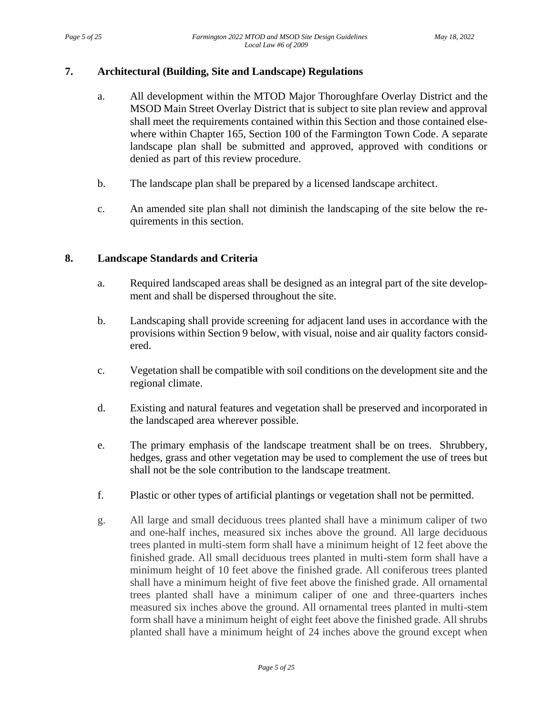# **7. Architectural (Building, Site and Landscape) Regulations**

- a. All development within the MTOD Major Thoroughfare Overlay District and the MSOD Main Street Overlay District that is subject to site plan review and approval shall meet the requirements contained within this Section and those contained elsewhere within Chapter 165, Section 100 of the Farmington Town Code. A separate landscape plan shall be submitted and approved, approved with conditions or denied as part of this review procedure.
- b. The landscape plan shall be prepared by a licensed landscape architect.
- c. An amended site plan shall not diminish the landscaping of the site below the requirements in this section.

# **8. Landscape Standards and Criteria**

- a. Required landscaped areas shall be designed as an integral part of the site development and shall be dispersed throughout the site.
- b. Landscaping shall provide screening for adjacent land uses in accordance with the provisions within Section 9 below, with visual, noise and air quality factors considered.
- c. Vegetation shall be compatible with soil conditions on the development site and the regional climate.
- d. Existing and natural features and vegetation shall be preserved and incorporated in the landscaped area wherever possible.
- e. The primary emphasis of the landscape treatment shall be on trees. Shrubbery, hedges, grass and other vegetation may be used to complement the use of trees but shall not be the sole contribution to the landscape treatment.
- f. Plastic or other types of artificial plantings or vegetation shall not be permitted.
- g. All large and small deciduous trees planted shall have a minimum caliper of two and one-half inches, measured six inches above the ground. All large deciduous trees planted in multi-stem form shall have a minimum height of 12 feet above the finished grade. All small deciduous trees planted in multi-stem form shall have a minimum height of 10 feet above the finished grade. All coniferous trees planted shall have a minimum height of five feet above the finished grade. All ornamental trees planted shall have a minimum caliper of one and three-quarters inches measured six inches above the ground. All ornamental trees planted in multi-stem form shall have a minimum height of eight feet above the finished grade. All shrubs planted shall have a minimum height of 24 inches above the ground except when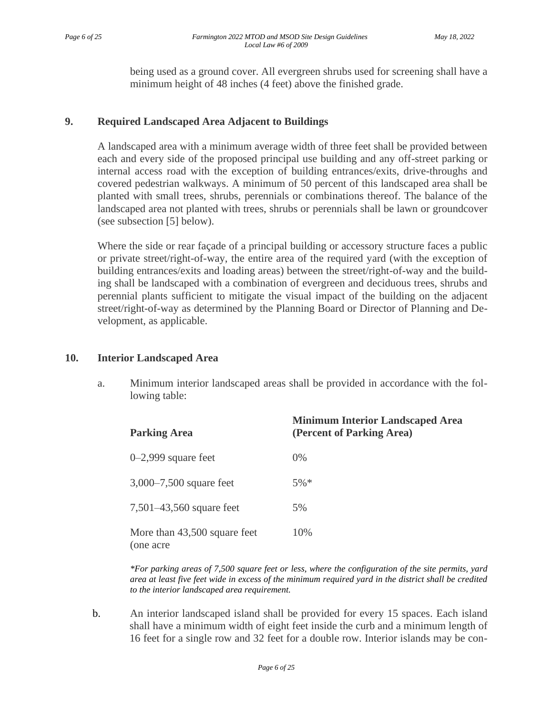being used as a ground cover. All evergreen shrubs used for screening shall have a minimum height of 48 inches (4 feet) above the finished grade.

# **9. Required Landscaped Area Adjacent to Buildings**

A landscaped area with a minimum average width of three feet shall be provided between each and every side of the proposed principal use building and any off-street parking or internal access road with the exception of building entrances/exits, drive-throughs and covered pedestrian walkways. A minimum of 50 percent of this landscaped area shall be planted with small trees, shrubs, perennials or combinations thereof. The balance of the landscaped area not planted with trees, shrubs or perennials shall be lawn or groundcover (see subsection [5] below).

Where the side or rear façade of a principal building or accessory structure faces a public or private street/right-of-way, the entire area of the required yard (with the exception of building entrances/exits and loading areas) between the street/right-of-way and the building shall be landscaped with a combination of evergreen and deciduous trees, shrubs and perennial plants sufficient to mitigate the visual impact of the building on the adjacent street/right-of-way as determined by the Planning Board or Director of Planning and Development, as applicable.

#### **10. Interior Landscaped Area**

a. Minimum interior landscaped areas shall be provided in accordance with the following table:

| <b>Parking Area</b>                       | <b>Minimum Interior Landscaped Area</b><br>(Percent of Parking Area) |
|-------------------------------------------|----------------------------------------------------------------------|
| $0-2,999$ square feet                     | $0\%$                                                                |
| 3,000–7,500 square feet                   | $5\%*$                                                               |
| 7,501–43,560 square feet                  | 5%                                                                   |
| More than 43,500 square feet<br>(one acre | 10%                                                                  |

*\*For parking areas of 7,500 square feet or less, where the configuration of the site permits, yard area at least five feet wide in excess of the minimum required yard in the district shall be credited to the interior landscaped area requirement.*

b. An interior landscaped island shall be provided for every 15 spaces. Each island shall have a minimum width of eight feet inside the curb and a minimum length of 16 feet for a single row and 32 feet for a double row. Interior islands may be con-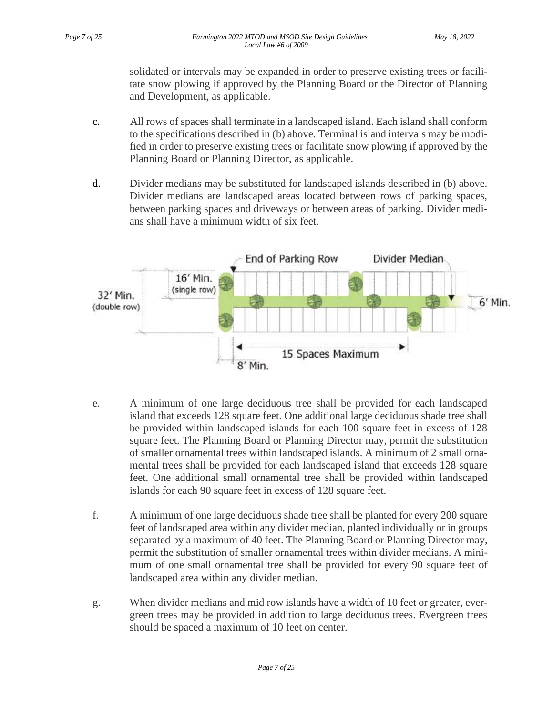solidated or intervals may be expanded in order to preserve existing trees or facilitate snow plowing if approved by the Planning Board or the Director of Planning and Development, as applicable.

- c. All rows of spaces shall terminate in a landscaped island. Each island shall conform to the specifications described in (b) above. Terminal island intervals may be modified in order to preserve existing trees or facilitate snow plowing if approved by the Planning Board or Planning Director, as applicable.
- d. Divider medians may be substituted for landscaped islands described in (b) above. Divider medians are landscaped areas located between rows of parking spaces, between parking spaces and driveways or between areas of parking. Divider medians shall have a minimum width of six feet.



- e. A minimum of one large deciduous tree shall be provided for each landscaped island that exceeds 128 square feet. One additional large deciduous shade tree shall be provided within landscaped islands for each 100 square feet in excess of 128 square feet. The Planning Board or Planning Director may, permit the substitution of smaller ornamental trees within landscaped islands. A minimum of 2 small ornamental trees shall be provided for each landscaped island that exceeds 128 square feet. One additional small ornamental tree shall be provided within landscaped islands for each 90 square feet in excess of 128 square feet.
- f. A minimum of one large deciduous shade tree shall be planted for every 200 square feet of landscaped area within any divider median, planted individually or in groups separated by a maximum of 40 feet. The Planning Board or Planning Director may, permit the substitution of smaller ornamental trees within divider medians. A minimum of one small ornamental tree shall be provided for every 90 square feet of landscaped area within any divider median.
- g. When divider medians and mid row islands have a width of 10 feet or greater, evergreen trees may be provided in addition to large deciduous trees. Evergreen trees should be spaced a maximum of 10 feet on center.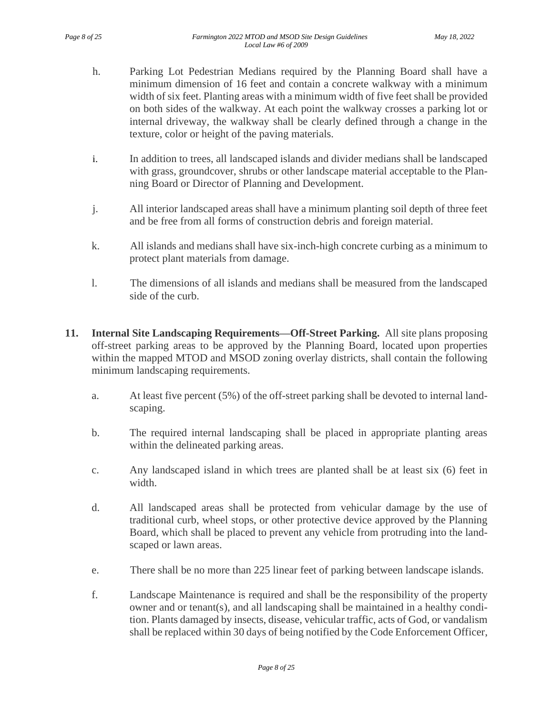- h. Parking Lot Pedestrian Medians required by the Planning Board shall have a minimum dimension of 16 feet and contain a concrete walkway with a minimum width of six feet. Planting areas with a minimum width of five feet shall be provided on both sides of the walkway. At each point the walkway crosses a parking lot or internal driveway, the walkway shall be clearly defined through a change in the texture, color or height of the paving materials.
- i. In addition to trees, all landscaped islands and divider medians shall be landscaped with grass, groundcover, shrubs or other landscape material acceptable to the Planning Board or Director of Planning and Development.
- j. All interior landscaped areas shall have a minimum planting soil depth of three feet and be free from all forms of construction debris and foreign material.
- k. All islands and medians shall have six-inch-high concrete curbing as a minimum to protect plant materials from damage.
- l. The dimensions of all islands and medians shall be measured from the landscaped side of the curb.
- **11. Internal Site Landscaping Requirements—Off-Street Parking.** All site plans proposing off-street parking areas to be approved by the Planning Board, located upon properties within the mapped MTOD and MSOD zoning overlay districts, shall contain the following minimum landscaping requirements.
	- a. At least five percent (5%) of the off-street parking shall be devoted to internal landscaping.
	- b. The required internal landscaping shall be placed in appropriate planting areas within the delineated parking areas.
	- c. Any landscaped island in which trees are planted shall be at least six (6) feet in width.
	- d. All landscaped areas shall be protected from vehicular damage by the use of traditional curb, wheel stops, or other protective device approved by the Planning Board, which shall be placed to prevent any vehicle from protruding into the landscaped or lawn areas.
	- e. There shall be no more than 225 linear feet of parking between landscape islands.
	- f. Landscape Maintenance is required and shall be the responsibility of the property owner and or tenant(s), and all landscaping shall be maintained in a healthy condition. Plants damaged by insects, disease, vehicular traffic, acts of God, or vandalism shall be replaced within 30 days of being notified by the Code Enforcement Officer,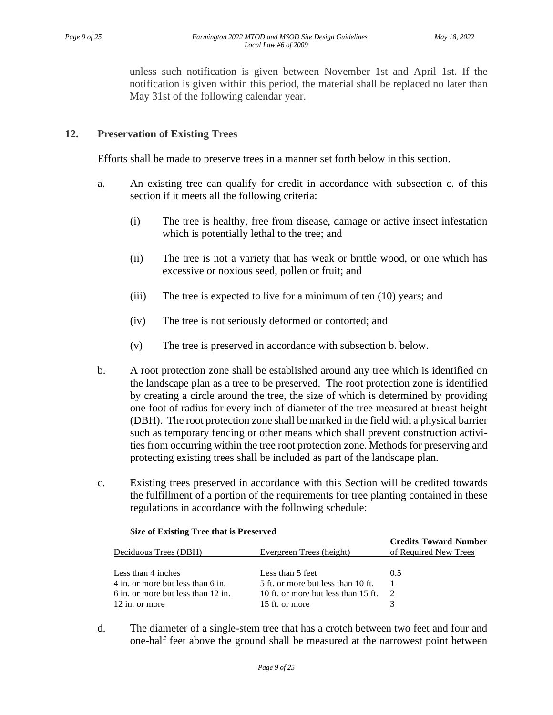unless such notification is given between November 1st and April 1st. If the notification is given within this period, the material shall be replaced no later than May 31st of the following calendar year.

# **12. Preservation of Existing Trees**

Efforts shall be made to preserve trees in a manner set forth below in this section.

- a. An existing tree can qualify for credit in accordance with subsection c. of this section if it meets all the following criteria:
	- (i) The tree is healthy, free from disease, damage or active insect infestation which is potentially lethal to the tree; and
	- (ii) The tree is not a variety that has weak or brittle wood, or one which has excessive or noxious seed, pollen or fruit; and
	- (iii) The tree is expected to live for a minimum of ten (10) years; and
	- (iv) The tree is not seriously deformed or contorted; and
	- (v) The tree is preserved in accordance with subsection b. below.
- b. A root protection zone shall be established around any tree which is identified on the landscape plan as a tree to be preserved. The root protection zone is identified by creating a circle around the tree, the size of which is determined by providing one foot of radius for every inch of diameter of the tree measured at breast height (DBH). The root protection zone shall be marked in the field with a physical barrier such as temporary fencing or other means which shall prevent construction activities from occurring within the tree root protection zone. Methods for preserving and protecting existing trees shall be included as part of the landscape plan.
- c. Existing trees preserved in accordance with this Section will be credited towards the fulfillment of a portion of the requirements for tree planting contained in these regulations in accordance with the following schedule:

| Deciduous Trees (DBH)              | Evergreen Trees (height)            | <b>Credits Toward Number</b><br>of Required New Trees |
|------------------------------------|-------------------------------------|-------------------------------------------------------|
| Less than 4 inches                 | Less than 5 feet                    | 0.5                                                   |
| 4 in, or more but less than 6 in.  | 5 ft. or more but less than 10 ft.  |                                                       |
| 6 in, or more but less than 12 in. | 10 ft. or more but less than 15 ft. |                                                       |
| 12 in. or more                     | 15 ft. or more                      |                                                       |

#### **Size of Existing Tree that is Preserved**

d. The diameter of a single-stem tree that has a crotch between two feet and four and one-half feet above the ground shall be measured at the narrowest point between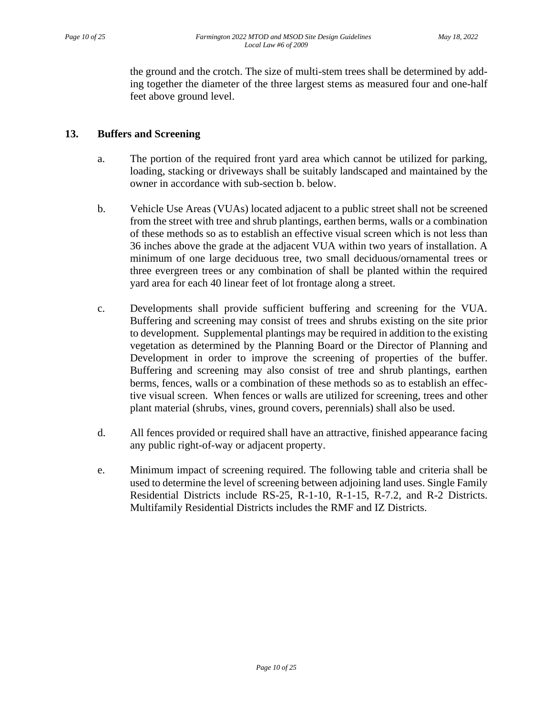the ground and the crotch. The size of multi-stem trees shall be determined by adding together the diameter of the three largest stems as measured four and one-half feet above ground level.

# **13. Buffers and Screening**

- a. The portion of the required front yard area which cannot be utilized for parking, loading, stacking or driveways shall be suitably landscaped and maintained by the owner in accordance with sub-section b. below.
- b. Vehicle Use Areas (VUAs) located adjacent to a public street shall not be screened from the street with tree and shrub plantings, earthen berms, walls or a combination of these methods so as to establish an effective visual screen which is not less than 36 inches above the grade at the adjacent VUA within two years of installation. A minimum of one large deciduous tree, two small deciduous/ornamental trees or three evergreen trees or any combination of shall be planted within the required yard area for each 40 linear feet of lot frontage along a street.
- c. Developments shall provide sufficient buffering and screening for the VUA. Buffering and screening may consist of trees and shrubs existing on the site prior to development. Supplemental plantings may be required in addition to the existing vegetation as determined by the Planning Board or the Director of Planning and Development in order to improve the screening of properties of the buffer. Buffering and screening may also consist of tree and shrub plantings, earthen berms, fences, walls or a combination of these methods so as to establish an effective visual screen. When fences or walls are utilized for screening, trees and other plant material (shrubs, vines, ground covers, perennials) shall also be used.
- d. All fences provided or required shall have an attractive, finished appearance facing any public right-of-way or adjacent property.
- e. Minimum impact of screening required. The following table and criteria shall be used to determine the level of screening between adjoining land uses. Single Family Residential Districts include RS-25, R-1-10, R-1-15, R-7.2, and R-2 Districts. Multifamily Residential Districts includes the RMF and IZ Districts.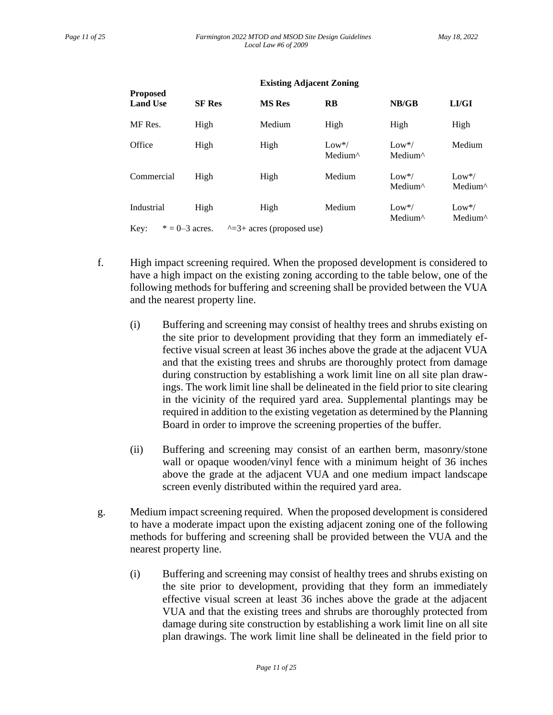#### **Existing Adjacent Zoning**

| <b>Proposed</b><br><b>Land Use</b> | <b>SF</b> Res | <b>MS</b> Res                      | $\mathbf{R}$                   | NB/GB                           | LI/GI                           |
|------------------------------------|---------------|------------------------------------|--------------------------------|---------------------------------|---------------------------------|
| MF Res.                            | High          | Medium                             | High                           | High                            | High                            |
| Office                             | High          | High                               | $Low*/$<br>Medium <sup>^</sup> | $Low^*/$<br>Medium <sup>^</sup> | Medium                          |
| Commercial                         | High          | High                               | Medium                         | $Low^*/$<br>Medium <sup>^</sup> | $Low^*/$<br>Medium <sup>^</sup> |
| Industrial                         | High          | High                               | Medium                         | $Low*/$<br>Medium <sup>^</sup>  | $Low^*/$<br>Medium <sup>^</sup> |
| Key:<br>$* = 0$ -3 acres.          |               | $\lambda$ =3+ acres (proposed use) |                                |                                 |                                 |

- f. High impact screening required. When the proposed development is considered to have a high impact on the existing zoning according to the table below, one of the following methods for buffering and screening shall be provided between the VUA and the nearest property line.
	- (i) Buffering and screening may consist of healthy trees and shrubs existing on the site prior to development providing that they form an immediately effective visual screen at least 36 inches above the grade at the adjacent VUA and that the existing trees and shrubs are thoroughly protect from damage during construction by establishing a work limit line on all site plan drawings. The work limit line shall be delineated in the field prior to site clearing in the vicinity of the required yard area. Supplemental plantings may be required in addition to the existing vegetation as determined by the Planning Board in order to improve the screening properties of the buffer.
	- (ii) Buffering and screening may consist of an earthen berm, masonry/stone wall or opaque wooden/vinyl fence with a minimum height of 36 inches above the grade at the adjacent VUA and one medium impact landscape screen evenly distributed within the required yard area.
- g. Medium impact screening required. When the proposed development is considered to have a moderate impact upon the existing adjacent zoning one of the following methods for buffering and screening shall be provided between the VUA and the nearest property line.
	- (i) Buffering and screening may consist of healthy trees and shrubs existing on the site prior to development, providing that they form an immediately effective visual screen at least 36 inches above the grade at the adjacent VUA and that the existing trees and shrubs are thoroughly protected from damage during site construction by establishing a work limit line on all site plan drawings. The work limit line shall be delineated in the field prior to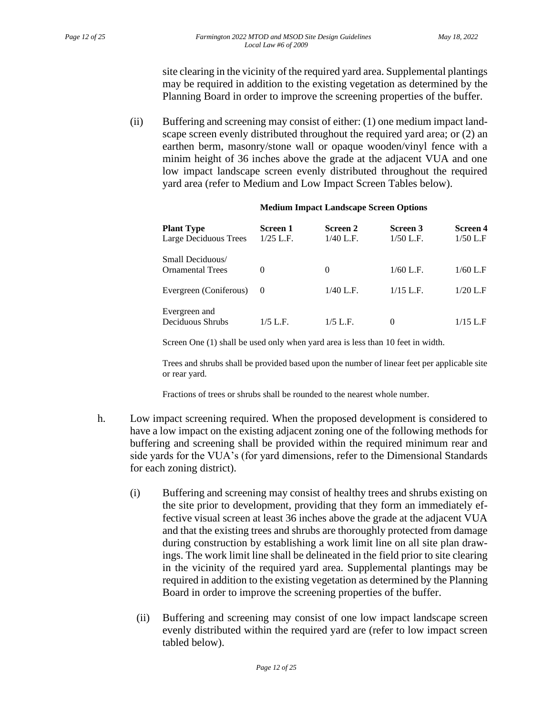site clearing in the vicinity of the required yard area. Supplemental plantings may be required in addition to the existing vegetation as determined by the Planning Board in order to improve the screening properties of the buffer.

(ii) Buffering and screening may consist of either: (1) one medium impact landscape screen evenly distributed throughout the required yard area; or (2) an earthen berm, masonry/stone wall or opaque wooden/vinyl fence with a minim height of 36 inches above the grade at the adjacent VUA and one low impact landscape screen evenly distributed throughout the required yard area (refer to Medium and Low Impact Screen Tables below).

| <b>Plant Type</b><br>Large Deciduous Trees  | Screen 1<br>$1/25$ L.F. | Screen 2<br>$1/40$ L.F. | Screen 3<br>$1/50$ L.F. | Screen 4<br>$1/50$ L.F |
|---------------------------------------------|-------------------------|-------------------------|-------------------------|------------------------|
| Small Deciduous/<br><b>Ornamental Trees</b> | $\Omega$                | $\Omega$                | $1/60$ L.F.             | $1/60$ L.F             |
| Evergreen (Coniferous)                      | 0                       | $1/40$ L.F.             | $1/15$ L.F.             | $1/20$ L.F             |
| Evergreen and<br>Deciduous Shrubs           | 1/5 L.F.                | $1/5$ L.F.              | 0                       | 45 L.F                 |

#### **Medium Impact Landscape Screen Options**

Screen One (1) shall be used only when yard area is less than 10 feet in width.

Trees and shrubs shall be provided based upon the number of linear feet per applicable site or rear yard.

Fractions of trees or shrubs shall be rounded to the nearest whole number.

- h. Low impact screening required. When the proposed development is considered to have a low impact on the existing adjacent zoning one of the following methods for buffering and screening shall be provided within the required minimum rear and side yards for the VUA's (for yard dimensions, refer to the Dimensional Standards for each zoning district).
	- (i) Buffering and screening may consist of healthy trees and shrubs existing on the site prior to development, providing that they form an immediately effective visual screen at least 36 inches above the grade at the adjacent VUA and that the existing trees and shrubs are thoroughly protected from damage during construction by establishing a work limit line on all site plan drawings. The work limit line shall be delineated in the field prior to site clearing in the vicinity of the required yard area. Supplemental plantings may be required in addition to the existing vegetation as determined by the Planning Board in order to improve the screening properties of the buffer.
		- (ii) Buffering and screening may consist of one low impact landscape screen evenly distributed within the required yard are (refer to low impact screen tabled below).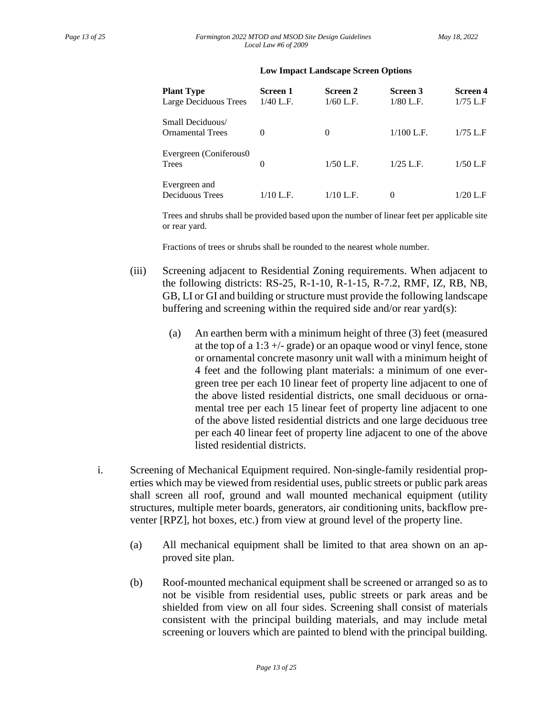#### **Low Impact Landscape Screen Options**

| <b>Plant Type</b><br>Large Deciduous Trees  | Screen 1<br>$1/40$ L.F. | Screen 2<br>$1/60$ L.F. | Screen 3<br>$1/80$ L.F. | Screen 4<br>$1/75$ L.F |
|---------------------------------------------|-------------------------|-------------------------|-------------------------|------------------------|
| Small Deciduous/<br><b>Ornamental Trees</b> | $\Omega$                | 0                       | $1/100$ L.F.            | $1/75$ L.F             |
| Evergreen (Coniferous0<br>Trees             | $\Omega$                | $1/50$ L.F.             | $1/25$ L.F.             | $1/50$ L.F             |
| Evergreen and<br>Deciduous Trees            | 1/10 L.F.               | $1/10$ L.F.             | $\theta$                | 1/20 L.F               |

Trees and shrubs shall be provided based upon the number of linear feet per applicable site or rear yard.

Fractions of trees or shrubs shall be rounded to the nearest whole number.

- (iii) Screening adjacent to Residential Zoning requirements. When adjacent to the following districts: RS-25, R-1-10, R-1-15, R-7.2, RMF, IZ, RB, NB, GB, LI or GI and building or structure must provide the following landscape buffering and screening within the required side and/or rear yard(s):
	- (a) An earthen berm with a minimum height of three (3) feet (measured at the top of a  $1:3 +/-$  grade) or an opaque wood or vinyl fence, stone or ornamental concrete masonry unit wall with a minimum height of 4 feet and the following plant materials: a minimum of one evergreen tree per each 10 linear feet of property line adjacent to one of the above listed residential districts, one small deciduous or ornamental tree per each 15 linear feet of property line adjacent to one of the above listed residential districts and one large deciduous tree per each 40 linear feet of property line adjacent to one of the above listed residential districts.
- i. Screening of Mechanical Equipment required. Non-single-family residential properties which may be viewed from residential uses, public streets or public park areas shall screen all roof, ground and wall mounted mechanical equipment (utility structures, multiple meter boards, generators, air conditioning units, backflow preventer [RPZ], hot boxes, etc.) from view at ground level of the property line.
	- (a) All mechanical equipment shall be limited to that area shown on an approved site plan.
	- (b) Roof-mounted mechanical equipment shall be screened or arranged so as to not be visible from residential uses, public streets or park areas and be shielded from view on all four sides. Screening shall consist of materials consistent with the principal building materials, and may include metal screening or louvers which are painted to blend with the principal building.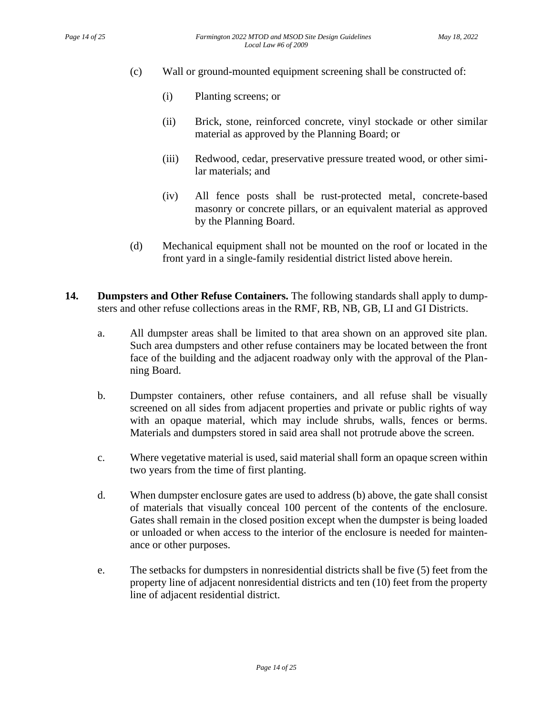- (c) Wall or ground-mounted equipment screening shall be constructed of:
	- (i) Planting screens; or
	- (ii) Brick, stone, reinforced concrete, vinyl stockade or other similar material as approved by the Planning Board; or
	- (iii) Redwood, cedar, preservative pressure treated wood, or other similar materials; and
	- (iv) All fence posts shall be rust-protected metal, concrete-based masonry or concrete pillars, or an equivalent material as approved by the Planning Board.
- (d) Mechanical equipment shall not be mounted on the roof or located in the front yard in a single-family residential district listed above herein.
- **14. Dumpsters and Other Refuse Containers.** The following standards shall apply to dumpsters and other refuse collections areas in the RMF, RB, NB, GB, LI and GI Districts.
	- a. All dumpster areas shall be limited to that area shown on an approved site plan. Such area dumpsters and other refuse containers may be located between the front face of the building and the adjacent roadway only with the approval of the Planning Board.
	- b. Dumpster containers, other refuse containers, and all refuse shall be visually screened on all sides from adjacent properties and private or public rights of way with an opaque material, which may include shrubs, walls, fences or berms. Materials and dumpsters stored in said area shall not protrude above the screen.
	- c. Where vegetative material is used, said material shall form an opaque screen within two years from the time of first planting.
	- d. When dumpster enclosure gates are used to address (b) above, the gate shall consist of materials that visually conceal 100 percent of the contents of the enclosure. Gates shall remain in the closed position except when the dumpster is being loaded or unloaded or when access to the interior of the enclosure is needed for maintenance or other purposes.
	- e. The setbacks for dumpsters in nonresidential districts shall be five (5) feet from the property line of adjacent nonresidential districts and ten (10) feet from the property line of adjacent residential district.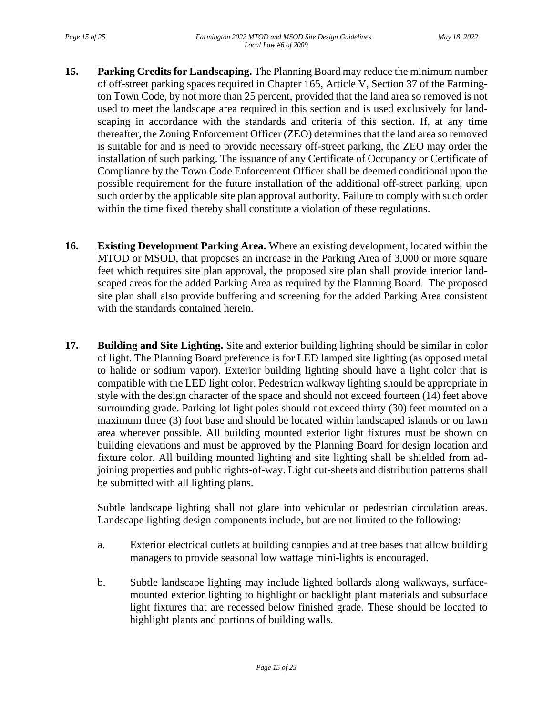- **15. Parking Credits for Landscaping.** The Planning Board may reduce the minimum number of off-street parking spaces required in Chapter 165, Article V, Section 37 of the Farmington Town Code, by not more than 25 percent, provided that the land area so removed is not used to meet the landscape area required in this section and is used exclusively for landscaping in accordance with the standards and criteria of this section. If, at any time thereafter, the Zoning Enforcement Officer (ZEO) determines that the land area so removed is suitable for and is need to provide necessary off-street parking, the ZEO may order the installation of such parking. The issuance of any Certificate of Occupancy or Certificate of Compliance by the Town Code Enforcement Officer shall be deemed conditional upon the possible requirement for the future installation of the additional off-street parking, upon such order by the applicable site plan approval authority. Failure to comply with such order within the time fixed thereby shall constitute a violation of these regulations.
- **16. Existing Development Parking Area.** Where an existing development, located within the MTOD or MSOD, that proposes an increase in the Parking Area of 3,000 or more square feet which requires site plan approval, the proposed site plan shall provide interior landscaped areas for the added Parking Area as required by the Planning Board. The proposed site plan shall also provide buffering and screening for the added Parking Area consistent with the standards contained herein.
- **17. Building and Site Lighting.** Site and exterior building lighting should be similar in color of light. The Planning Board preference is for LED lamped site lighting (as opposed metal to halide or sodium vapor). Exterior building lighting should have a light color that is compatible with the LED light color. Pedestrian walkway lighting should be appropriate in style with the design character of the space and should not exceed fourteen (14) feet above surrounding grade. Parking lot light poles should not exceed thirty (30) feet mounted on a maximum three (3) foot base and should be located within landscaped islands or on lawn area wherever possible. All building mounted exterior light fixtures must be shown on building elevations and must be approved by the Planning Board for design location and fixture color. All building mounted lighting and site lighting shall be shielded from adjoining properties and public rights-of-way. Light cut-sheets and distribution patterns shall be submitted with all lighting plans.

Subtle landscape lighting shall not glare into vehicular or pedestrian circulation areas. Landscape lighting design components include, but are not limited to the following:

- a. Exterior electrical outlets at building canopies and at tree bases that allow building managers to provide seasonal low wattage mini-lights is encouraged.
- b. Subtle landscape lighting may include lighted bollards along walkways, surfacemounted exterior lighting to highlight or backlight plant materials and subsurface light fixtures that are recessed below finished grade. These should be located to highlight plants and portions of building walls.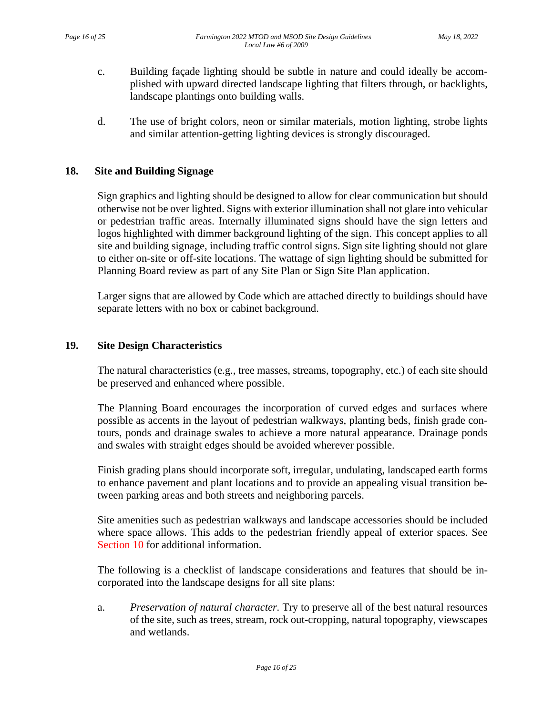- c. Building façade lighting should be subtle in nature and could ideally be accomplished with upward directed landscape lighting that filters through, or backlights, landscape plantings onto building walls.
- d. The use of bright colors, neon or similar materials, motion lighting, strobe lights and similar attention-getting lighting devices is strongly discouraged.

#### **18. Site and Building Signage**

Sign graphics and lighting should be designed to allow for clear communication but should otherwise not be over lighted. Signs with exterior illumination shall not glare into vehicular or pedestrian traffic areas. Internally illuminated signs should have the sign letters and logos highlighted with dimmer background lighting of the sign. This concept applies to all site and building signage, including traffic control signs. Sign site lighting should not glare to either on-site or off-site locations. The wattage of sign lighting should be submitted for Planning Board review as part of any Site Plan or Sign Site Plan application.

Larger signs that are allowed by Code which are attached directly to buildings should have separate letters with no box or cabinet background.

#### **19. Site Design Characteristics**

The natural characteristics (e.g., tree masses, streams, topography, etc.) of each site should be preserved and enhanced where possible.

The Planning Board encourages the incorporation of curved edges and surfaces where possible as accents in the layout of pedestrian walkways, planting beds, finish grade contours, ponds and drainage swales to achieve a more natural appearance. Drainage ponds and swales with straight edges should be avoided wherever possible.

Finish grading plans should incorporate soft, irregular, undulating, landscaped earth forms to enhance pavement and plant locations and to provide an appealing visual transition between parking areas and both streets and neighboring parcels.

Site amenities such as pedestrian walkways and landscape accessories should be included where space allows. This adds to the pedestrian friendly appeal of exterior spaces. See Section 10 for additional information.

The following is a checklist of landscape considerations and features that should be incorporated into the landscape designs for all site plans:

a. *Preservation of natural character.* Try to preserve all of the best natural resources of the site, such as trees, stream, rock out-cropping, natural topography, viewscapes and wetlands.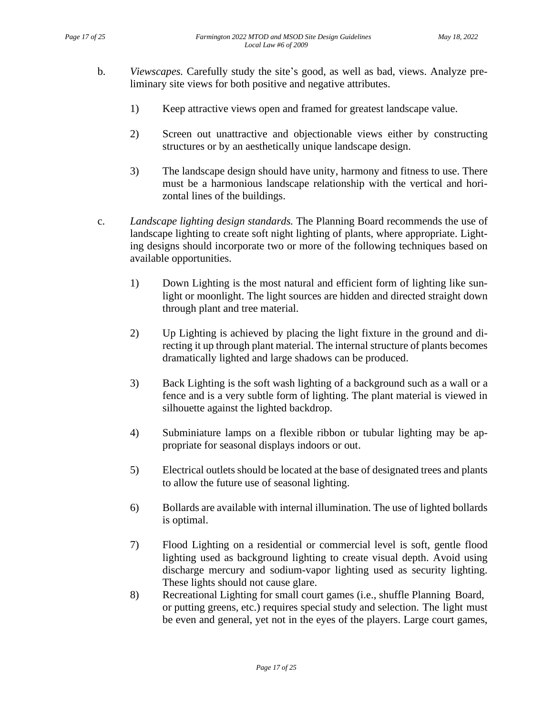- b. *Viewscapes.* Carefully study the site's good, as well as bad, views. Analyze preliminary site views for both positive and negative attributes.
	- 1) Keep attractive views open and framed for greatest landscape value.
	- 2) Screen out unattractive and objectionable views either by constructing structures or by an aesthetically unique landscape design.
	- 3) The landscape design should have unity, harmony and fitness to use. There must be a harmonious landscape relationship with the vertical and horizontal lines of the buildings.
- c. *Landscape lighting design standards.* The Planning Board recommends the use of landscape lighting to create soft night lighting of plants, where appropriate. Lighting designs should incorporate two or more of the following techniques based on available opportunities.
	- 1) Down Lighting is the most natural and efficient form of lighting like sunlight or moonlight. The light sources are hidden and directed straight down through plant and tree material.
	- 2) Up Lighting is achieved by placing the light fixture in the ground and directing it up through plant material. The internal structure of plants becomes dramatically lighted and large shadows can be produced.
	- 3) Back Lighting is the soft wash lighting of a background such as a wall or a fence and is a very subtle form of lighting. The plant material is viewed in silhouette against the lighted backdrop.
	- 4) Subminiature lamps on a flexible ribbon or tubular lighting may be appropriate for seasonal displays indoors or out.
	- 5) Electrical outlets should be located at the base of designated trees and plants to allow the future use of seasonal lighting.
	- 6) Bollards are available with internal illumination. The use of lighted bollards is optimal.
	- 7) Flood Lighting on a residential or commercial level is soft, gentle flood lighting used as background lighting to create visual depth. Avoid using discharge mercury and sodium-vapor lighting used as security lighting. These lights should not cause glare.
	- 8) Recreational Lighting for small court games (i.e., shuffle Planning Board, or putting greens, etc.) requires special study and selection. The light must be even and general, yet not in the eyes of the players. Large court games,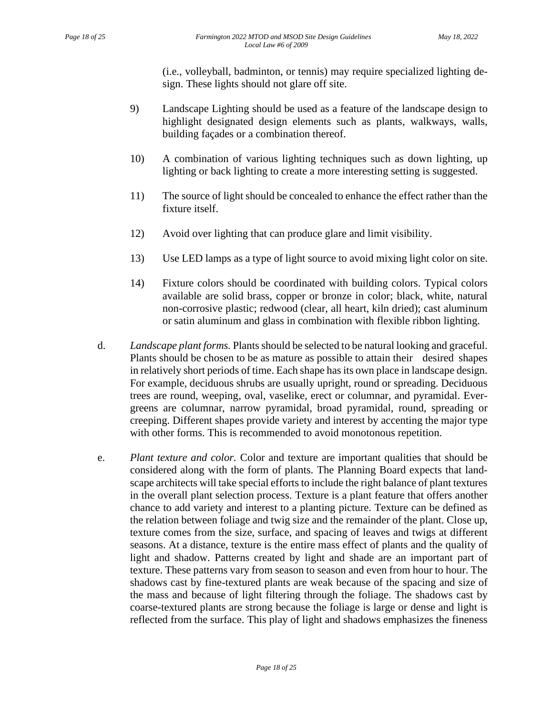(i.e., volleyball, badminton, or tennis) may require specialized lighting design. These lights should not glare off site.

- 9) Landscape Lighting should be used as a feature of the landscape design to highlight designated design elements such as plants, walkways, walls, building façades or a combination thereof.
- 10) A combination of various lighting techniques such as down lighting, up lighting or back lighting to create a more interesting setting is suggested.
- 11) The source of light should be concealed to enhance the effect rather than the fixture itself.
- 12) Avoid over lighting that can produce glare and limit visibility.
- 13) Use LED lamps as a type of light source to avoid mixing light color on site.
- 14) Fixture colors should be coordinated with building colors. Typical colors available are solid brass, copper or bronze in color; black, white, natural non-corrosive plastic; redwood (clear, all heart, kiln dried); cast aluminum or satin aluminum and glass in combination with flexible ribbon lighting.
- d. *Landscape plant forms.* Plants should be selected to be natural looking and graceful. Plants should be chosen to be as mature as possible to attain their desired shapes in relatively short periods of time. Each shape has its own place in landscape design. For example, deciduous shrubs are usually upright, round or spreading. Deciduous trees are round, weeping, oval, vaselike, erect or columnar, and pyramidal. Evergreens are columnar, narrow pyramidal, broad pyramidal, round, spreading or creeping. Different shapes provide variety and interest by accenting the major type with other forms. This is recommended to avoid monotonous repetition.
- e. *Plant texture and color.* Color and texture are important qualities that should be considered along with the form of plants. The Planning Board expects that landscape architects will take special efforts to include the right balance of plant textures in the overall plant selection process. Texture is a plant feature that offers another chance to add variety and interest to a planting picture. Texture can be defined as the relation between foliage and twig size and the remainder of the plant. Close up, texture comes from the size, surface, and spacing of leaves and twigs at different seasons. At a distance, texture is the entire mass effect of plants and the quality of light and shadow. Patterns created by light and shade are an important part of texture. These patterns vary from season to season and even from hour to hour. The shadows cast by fine-textured plants are weak because of the spacing and size of the mass and because of light filtering through the foliage. The shadows cast by coarse-textured plants are strong because the foliage is large or dense and light is reflected from the surface. This play of light and shadows emphasizes the fineness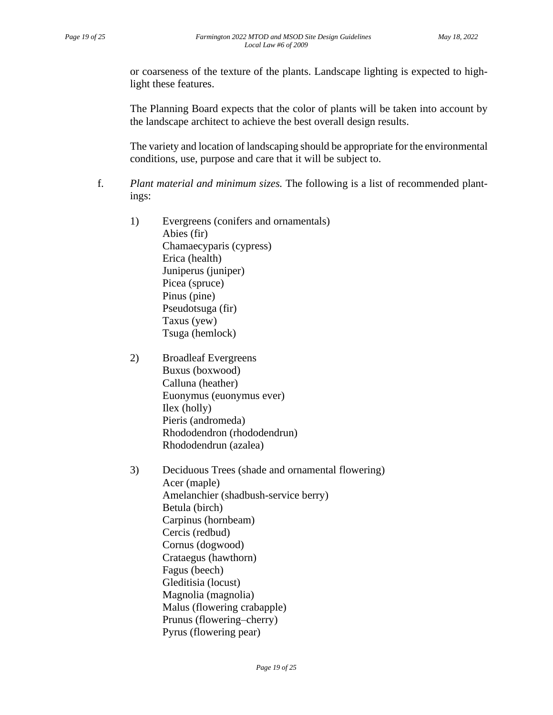or coarseness of the texture of the plants. Landscape lighting is expected to highlight these features.

The Planning Board expects that the color of plants will be taken into account by the landscape architect to achieve the best overall design results.

The variety and location of landscaping should be appropriate for the environmental conditions, use, purpose and care that it will be subject to.

- f. *Plant material and minimum sizes.* The following is a list of recommended plantings:
	- 1) Evergreens (conifers and ornamentals) Abies (fir) Chamaecyparis (cypress) Erica (health) Juniperus (juniper) Picea (spruce) Pinus (pine) Pseudotsuga (fir) Taxus (yew) Tsuga (hemlock)
	- 2) Broadleaf Evergreens Buxus (boxwood) Calluna (heather) Euonymus (euonymus ever) Ilex (holly) Pieris (andromeda) Rhododendron (rhododendrun) Rhododendrun (azalea)
	- 3) Deciduous Trees (shade and ornamental flowering) Acer (maple) Amelanchier (shadbush-service berry) Betula (birch) Carpinus (hornbeam) Cercis (redbud) Cornus (dogwood) Crataegus (hawthorn) Fagus (beech) Gleditisia (locust) Magnolia (magnolia) Malus (flowering crabapple) Prunus (flowering–cherry) Pyrus (flowering pear)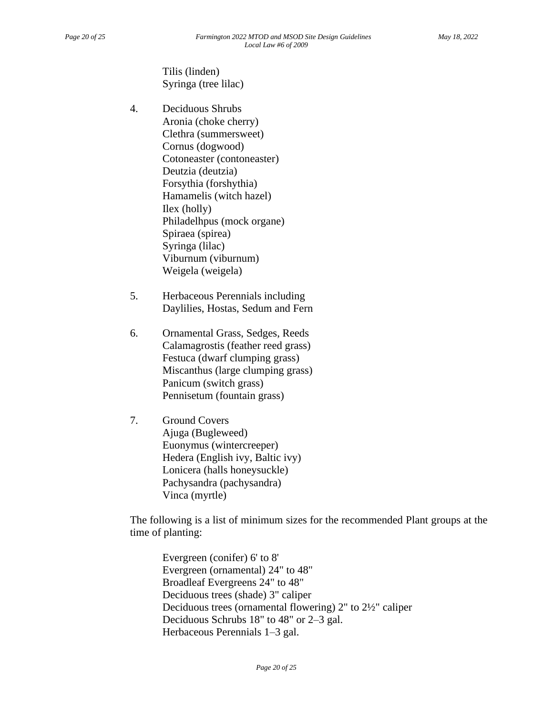Tilis (linden) Syringa (tree lilac)

- 4. Deciduous Shrubs Aronia (choke cherry) Clethra (summersweet) Cornus (dogwood) Cotoneaster (contoneaster) Deutzia (deutzia) Forsythia (forshythia) Hamamelis (witch hazel) Ilex (holly) Philadelhpus (mock organe) Spiraea (spirea) Syringa (lilac) Viburnum (viburnum) Weigela (weigela)
- 5. Herbaceous Perennials including Daylilies, Hostas, Sedum and Fern
- 6. Ornamental Grass, Sedges, Reeds Calamagrostis (feather reed grass) Festuca (dwarf clumping grass) Miscanthus (large clumping grass) Panicum (switch grass) Pennisetum (fountain grass)
- 7. Ground Covers Ajuga (Bugleweed) Euonymus (wintercreeper) Hedera (English ivy, Baltic ivy) Lonicera (halls honeysuckle) Pachysandra (pachysandra) Vinca (myrtle)

The following is a list of minimum sizes for the recommended Plant groups at the time of planting:

Evergreen (conifer) 6' to 8' Evergreen (ornamental) 24" to 48" Broadleaf Evergreens 24" to 48" Deciduous trees (shade) 3" caliper Deciduous trees (ornamental flowering) 2" to 2½" caliper Deciduous Schrubs 18" to 48" or 2–3 gal. Herbaceous Perennials 1–3 gal.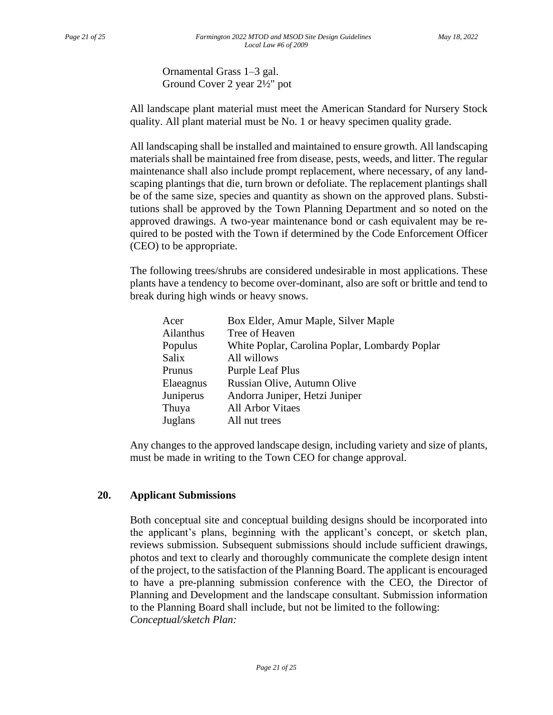Ornamental Grass 1–3 gal. Ground Cover 2 year 2½" pot

All landscape plant material must meet the American Standard for Nursery Stock quality. All plant material must be No. 1 or heavy specimen quality grade.

All landscaping shall be installed and maintained to ensure growth. All landscaping materials shall be maintained free from disease, pests, weeds, and litter. The regular maintenance shall also include prompt replacement, where necessary, of any landscaping plantings that die, turn brown or defoliate. The replacement plantings shall be of the same size, species and quantity as shown on the approved plans. Substitutions shall be approved by the Town Planning Department and so noted on the approved drawings. A two-year maintenance bond or cash equivalent may be required to be posted with the Town if determined by the Code Enforcement Officer (CEO) to be appropriate.

The following trees/shrubs are considered undesirable in most applications. These plants have a tendency to become over-dominant, also are soft or brittle and tend to break during high winds or heavy snows.

| Acer      | Box Elder, Amur Maple, Silver Maple            |
|-----------|------------------------------------------------|
| Ailanthus | Tree of Heaven                                 |
| Populus   | White Poplar, Carolina Poplar, Lombardy Poplar |
| Salix     | All willows                                    |
| Prunus    | <b>Purple Leaf Plus</b>                        |
| Elaeagnus | Russian Olive, Autumn Olive                    |
| Juniperus | Andorra Juniper, Hetzi Juniper                 |
| Thuya     | <b>All Arbor Vitaes</b>                        |
| Juglans   | All nut trees                                  |

Any changes to the approved landscape design, including variety and size of plants, must be made in writing to the Town CEO for change approval.

## **20. Applicant Submissions**

Both conceptual site and conceptual building designs should be incorporated into the applicant's plans, beginning with the applicant's concept, or sketch plan, reviews submission. Subsequent submissions should include sufficient drawings, photos and text to clearly and thoroughly communicate the complete design intent of the project, to the satisfaction of the Planning Board. The applicant is encouraged to have a pre-planning submission conference with the CEO, the Director of Planning and Development and the landscape consultant. Submission information to the Planning Board shall include, but not be limited to the following: *Conceptual/sketch Plan:*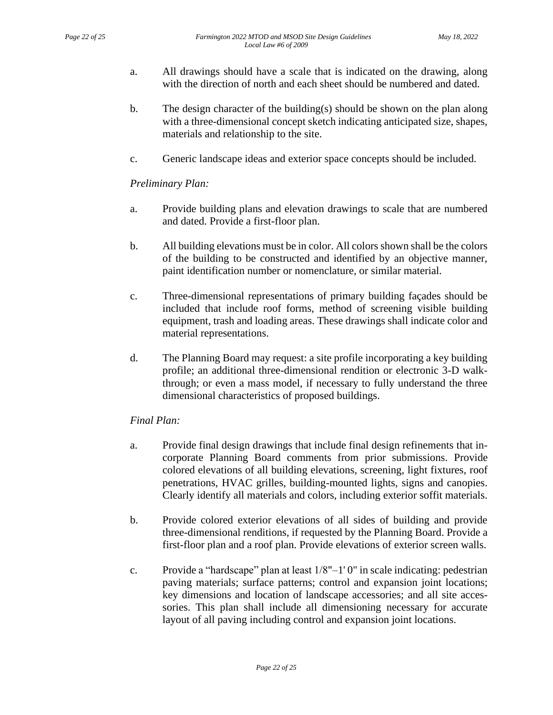- a. All drawings should have a scale that is indicated on the drawing, along with the direction of north and each sheet should be numbered and dated.
- b. The design character of the building(s) should be shown on the plan along with a three-dimensional concept sketch indicating anticipated size, shapes, materials and relationship to the site.
- c. Generic landscape ideas and exterior space concepts should be included.

# *Preliminary Plan:*

- a. Provide building plans and elevation drawings to scale that are numbered and dated. Provide a first-floor plan.
- b. All building elevations must be in color. All colors shown shall be the colors of the building to be constructed and identified by an objective manner, paint identification number or nomenclature, or similar material.
- c. Three-dimensional representations of primary building façades should be included that include roof forms, method of screening visible building equipment, trash and loading areas. These drawings shall indicate color and material representations.
- d. The Planning Board may request: a site profile incorporating a key building profile; an additional three-dimensional rendition or electronic 3-D walkthrough; or even a mass model, if necessary to fully understand the three dimensional characteristics of proposed buildings.

## *Final Plan:*

- a. Provide final design drawings that include final design refinements that incorporate Planning Board comments from prior submissions. Provide colored elevations of all building elevations, screening, light fixtures, roof penetrations, HVAC grilles, building-mounted lights, signs and canopies. Clearly identify all materials and colors, including exterior soffit materials.
- b. Provide colored exterior elevations of all sides of building and provide three-dimensional renditions, if requested by the Planning Board. Provide a first-floor plan and a roof plan. Provide elevations of exterior screen walls.
- c. Provide a "hardscape" plan at least  $1/8$ " $-1'$  0" in scale indicating: pedestrian paving materials; surface patterns; control and expansion joint locations; key dimensions and location of landscape accessories; and all site accessories. This plan shall include all dimensioning necessary for accurate layout of all paving including control and expansion joint locations.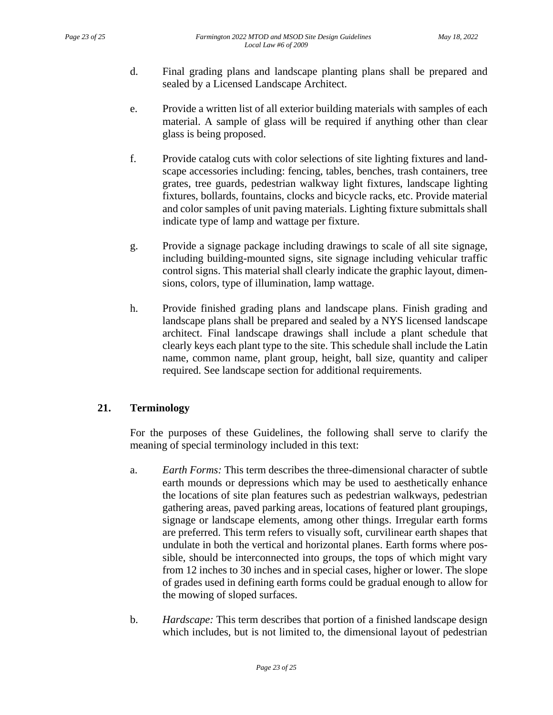- d. Final grading plans and landscape planting plans shall be prepared and sealed by a Licensed Landscape Architect.
- e. Provide a written list of all exterior building materials with samples of each material. A sample of glass will be required if anything other than clear glass is being proposed.
- f. Provide catalog cuts with color selections of site lighting fixtures and landscape accessories including: fencing, tables, benches, trash containers, tree grates, tree guards, pedestrian walkway light fixtures, landscape lighting fixtures, bollards, fountains, clocks and bicycle racks, etc. Provide material and color samples of unit paving materials. Lighting fixture submittals shall indicate type of lamp and wattage per fixture.
- g. Provide a signage package including drawings to scale of all site signage, including building-mounted signs, site signage including vehicular traffic control signs. This material shall clearly indicate the graphic layout, dimensions, colors, type of illumination, lamp wattage.
- h. Provide finished grading plans and landscape plans. Finish grading and landscape plans shall be prepared and sealed by a NYS licensed landscape architect. Final landscape drawings shall include a plant schedule that clearly keys each plant type to the site. This schedule shall include the Latin name, common name, plant group, height, ball size, quantity and caliper required. See landscape section for additional requirements.

## **21. Terminology**

For the purposes of these Guidelines, the following shall serve to clarify the meaning of special terminology included in this text:

- a. *Earth Forms:* This term describes the three-dimensional character of subtle earth mounds or depressions which may be used to aesthetically enhance the locations of site plan features such as pedestrian walkways, pedestrian gathering areas, paved parking areas, locations of featured plant groupings, signage or landscape elements, among other things. Irregular earth forms are preferred. This term refers to visually soft, curvilinear earth shapes that undulate in both the vertical and horizontal planes. Earth forms where possible, should be interconnected into groups, the tops of which might vary from 12 inches to 30 inches and in special cases, higher or lower. The slope of grades used in defining earth forms could be gradual enough to allow for the mowing of sloped surfaces.
- b. *Hardscape:* This term describes that portion of a finished landscape design which includes, but is not limited to, the dimensional layout of pedestrian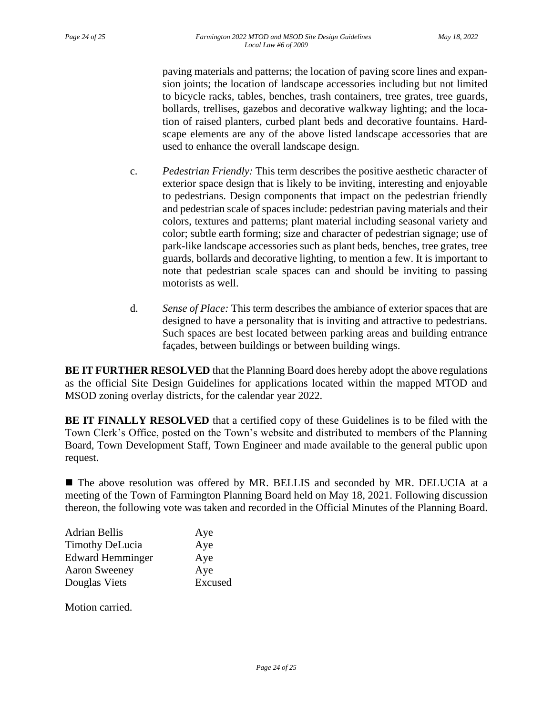paving materials and patterns; the location of paving score lines and expansion joints; the location of landscape accessories including but not limited to bicycle racks, tables, benches, trash containers, tree grates, tree guards, bollards, trellises, gazebos and decorative walkway lighting; and the location of raised planters, curbed plant beds and decorative fountains. Hardscape elements are any of the above listed landscape accessories that are used to enhance the overall landscape design.

- c. *Pedestrian Friendly:* This term describes the positive aesthetic character of exterior space design that is likely to be inviting, interesting and enjoyable to pedestrians. Design components that impact on the pedestrian friendly and pedestrian scale of spaces include: pedestrian paving materials and their colors, textures and patterns; plant material including seasonal variety and color; subtle earth forming; size and character of pedestrian signage; use of park-like landscape accessories such as plant beds, benches, tree grates, tree guards, bollards and decorative lighting, to mention a few. It is important to note that pedestrian scale spaces can and should be inviting to passing motorists as well.
- d. *Sense of Place:* This term describes the ambiance of exterior spaces that are designed to have a personality that is inviting and attractive to pedestrians. Such spaces are best located between parking areas and building entrance façades, between buildings or between building wings.

**BE IT FURTHER RESOLVED** that the Planning Board does hereby adopt the above regulations as the official Site Design Guidelines for applications located within the mapped MTOD and MSOD zoning overlay districts, for the calendar year 2022.

**BE IT FINALLY RESOLVED** that a certified copy of these Guidelines is to be filed with the Town Clerk's Office, posted on the Town's website and distributed to members of the Planning Board, Town Development Staff, Town Engineer and made available to the general public upon request.

■ The above resolution was offered by MR. BELLIS and seconded by MR. DELUCIA at a meeting of the Town of Farmington Planning Board held on May 18, 2021. Following discussion thereon, the following vote was taken and recorded in the Official Minutes of the Planning Board.

| <b>Adrian Bellis</b>    | Aye     |
|-------------------------|---------|
| <b>Timothy DeLucia</b>  | Aye     |
| <b>Edward Hemminger</b> | Aye     |
| <b>Aaron Sweeney</b>    | Aye     |
| Douglas Viets           | Excused |

Motion carried.